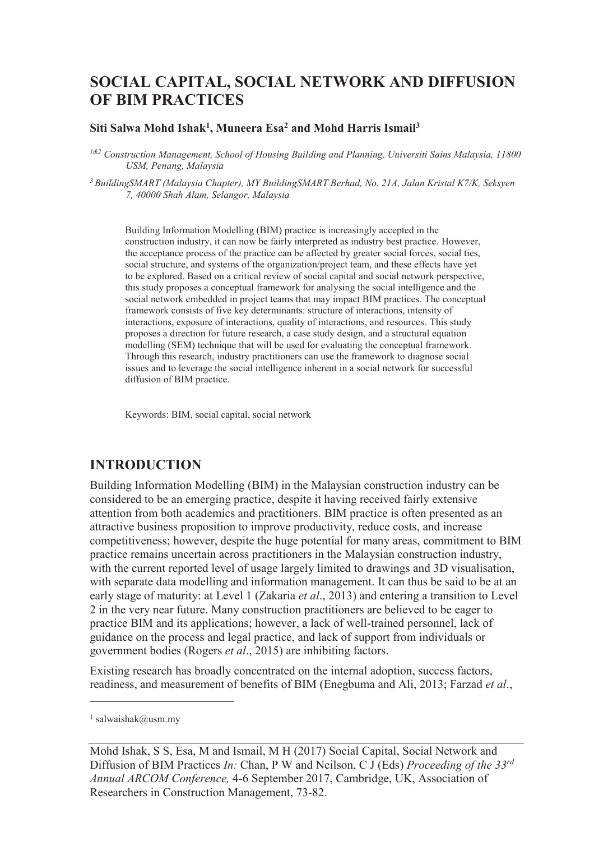# **SOCIAL CAPITAL, SOCIAL NETWORK AND DIFFUSION OF BIM PRACTICES**

#### **Siti Salwa Mohd Ishak<sup>1</sup> , Muneera Esa<sup>2</sup> and Mohd Harris Ismail<sup>3</sup>**

*1&2 Construction Management, School of Housing Building and Planning, Universiti Sains Malaysia, 11800 USM, Penang, Malaysia* 

*<sup>3</sup>BuildingSMART (Malaysia Chapter), MY BuildingSMART Berhad, No. 21A, Jalan Kristal K7/K, Seksyen 7, 40000 Shah Alam, Selangor, Malaysia* 

Building Information Modelling (BIM) practice is increasingly accepted in the construction industry, it can now be fairly interpreted as industry best practice. However, the acceptance process of the practice can be affected by greater social forces, social ties, social structure, and systems of the organization/project team, and these effects have yet to be explored. Based on a critical review of social capital and social network perspective, this study proposes a conceptual framework for analysing the social intelligence and the social network embedded in project teams that may impact BIM practices. The conceptual framework consists of five key determinants: structure of interactions, intensity of interactions, exposure of interactions, quality of interactions, and resources. This study proposes a direction for future research, a case study design, and a structural equation modelling (SEM) technique that will be used for evaluating the conceptual framework. Through this research, industry practitioners can use the framework to diagnose social issues and to leverage the social intelligence inherent in a social network for successful diffusion of BIM practice.

Keywords: BIM, social capital, social network

### **INTRODUCTION**

Building Information Modelling (BIM) in the Malaysian construction industry can be considered to be an emerging practice, despite it having received fairly extensive attention from both academics and practitioners. BIM practice is often presented as an attractive business proposition to improve productivity, reduce costs, and increase competitiveness; however, despite the huge potential for many areas, commitment to BIM practice remains uncertain across practitioners in the Malaysian construction industry, with the current reported level of usage largely limited to drawings and 3D visualisation, with separate data modelling and information management. It can thus be said to be at an early stage of maturity: at Level 1 (Zakaria *et al*., 2013) and entering a transition to Level 2 in the very near future. Many construction practitioners are believed to be eager to practice BIM and its applications; however, a lack of well-trained personnel, lack of guidance on the process and legal practice, and lack of support from individuals or government bodies (Rogers *et al*., 2015) are inhibiting factors.

Existing research has broadly concentrated on the internal adoption, success factors, readiness, and measurement of benefits of BIM (Enegbuma and Ali, 2013; Farzad *et al*.,

-

<sup>1</sup> salwaishak@usm.my

Mohd Ishak, S S, Esa, M and Ismail, M H (2017) Social Capital, Social Network and Diffusion of BIM Practices *In:* Chan, P W and Neilson, C J (Eds) *Proceeding of the 33rd Annual ARCOM Conference,* 4-6 September 2017, Cambridge, UK, Association of Researchers in Construction Management, 73-82.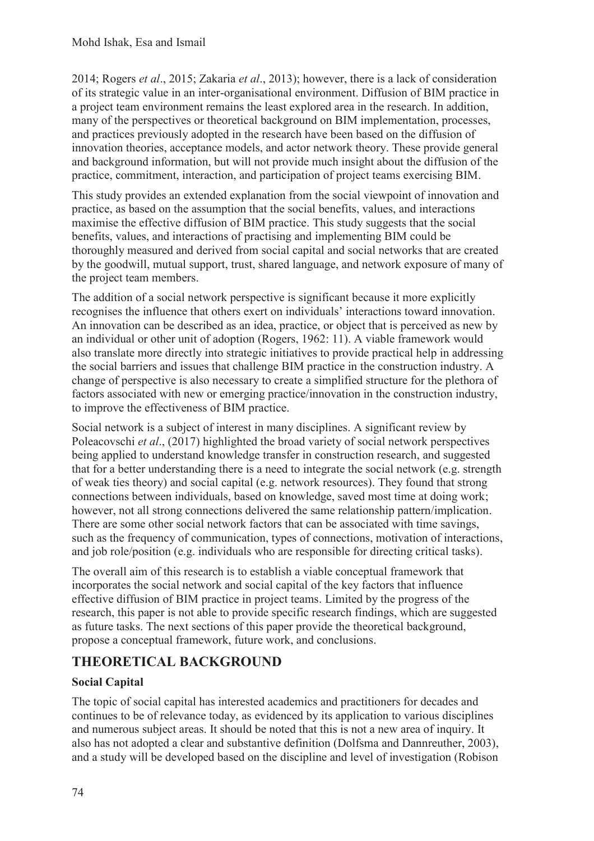2014; Rogers *et al*., 2015; Zakaria *et al*., 2013); however, there is a lack of consideration of its strategic value in an inter-organisational environment. Diffusion of BIM practice in a project team environment remains the least explored area in the research. In addition, many of the perspectives or theoretical background on BIM implementation, processes, and practices previously adopted in the research have been based on the diffusion of innovation theories, acceptance models, and actor network theory. These provide general and background information, but will not provide much insight about the diffusion of the practice, commitment, interaction, and participation of project teams exercising BIM.

This study provides an extended explanation from the social viewpoint of innovation and practice, as based on the assumption that the social benefits, values, and interactions maximise the effective diffusion of BIM practice. This study suggests that the social benefits, values, and interactions of practising and implementing BIM could be thoroughly measured and derived from social capital and social networks that are created by the goodwill, mutual support, trust, shared language, and network exposure of many of the project team members.

The addition of a social network perspective is significant because it more explicitly recognises the influence that others exert on individuals' interactions toward innovation. An innovation can be described as an idea, practice, or object that is perceived as new by an individual or other unit of adoption (Rogers, 1962: 11). A viable framework would also translate more directly into strategic initiatives to provide practical help in addressing the social barriers and issues that challenge BIM practice in the construction industry. A change of perspective is also necessary to create a simplified structure for the plethora of factors associated with new or emerging practice/innovation in the construction industry, to improve the effectiveness of BIM practice.

Social network is a subject of interest in many disciplines. A significant review by Poleacovschi *et al*., (2017) highlighted the broad variety of social network perspectives being applied to understand knowledge transfer in construction research, and suggested that for a better understanding there is a need to integrate the social network (e.g. strength of weak ties theory) and social capital (e.g. network resources). They found that strong connections between individuals, based on knowledge, saved most time at doing work; however, not all strong connections delivered the same relationship pattern/implication. There are some other social network factors that can be associated with time savings, such as the frequency of communication, types of connections, motivation of interactions, and job role/position (e.g. individuals who are responsible for directing critical tasks).

The overall aim of this research is to establish a viable conceptual framework that incorporates the social network and social capital of the key factors that influence effective diffusion of BIM practice in project teams. Limited by the progress of the research, this paper is not able to provide specific research findings, which are suggested as future tasks. The next sections of this paper provide the theoretical background, propose a conceptual framework, future work, and conclusions.

# **THEORETICAL BACKGROUND**

## **Social Capital**

The topic of social capital has interested academics and practitioners for decades and continues to be of relevance today, as evidenced by its application to various disciplines and numerous subject areas. It should be noted that this is not a new area of inquiry. It also has not adopted a clear and substantive definition (Dolfsma and Dannreuther, 2003), and a study will be developed based on the discipline and level of investigation (Robison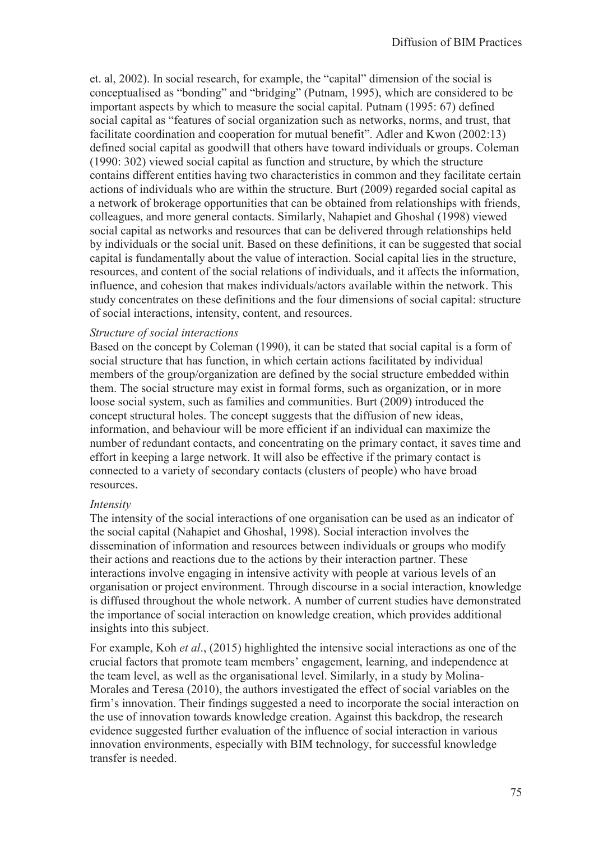et. al, 2002). In social research, for example, the "capital" dimension of the social is conceptualised as "bonding" and "bridging" (Putnam, 1995), which are considered to be important aspects by which to measure the social capital. Putnam (1995: 67) defined social capital as "features of social organization such as networks, norms, and trust, that facilitate coordination and cooperation for mutual benefit". Adler and Kwon (2002:13) defined social capital as goodwill that others have toward individuals or groups. Coleman (1990: 302) viewed social capital as function and structure, by which the structure contains different entities having two characteristics in common and they facilitate certain actions of individuals who are within the structure. Burt (2009) regarded social capital as a network of brokerage opportunities that can be obtained from relationships with friends, colleagues, and more general contacts. Similarly, Nahapiet and Ghoshal (1998) viewed social capital as networks and resources that can be delivered through relationships held by individuals or the social unit. Based on these definitions, it can be suggested that social capital is fundamentally about the value of interaction. Social capital lies in the structure, resources, and content of the social relations of individuals, and it affects the information, influence, and cohesion that makes individuals/actors available within the network. This study concentrates on these definitions and the four dimensions of social capital: structure of social interactions, intensity, content, and resources.

#### *Structure of social interactions*

Based on the concept by Coleman (1990), it can be stated that social capital is a form of social structure that has function, in which certain actions facilitated by individual members of the group/organization are defined by the social structure embedded within them. The social structure may exist in formal forms, such as organization, or in more loose social system, such as families and communities. Burt (2009) introduced the concept structural holes. The concept suggests that the diffusion of new ideas, information, and behaviour will be more efficient if an individual can maximize the number of redundant contacts, and concentrating on the primary contact, it saves time and effort in keeping a large network. It will also be effective if the primary contact is connected to a variety of secondary contacts (clusters of people) who have broad resources.

#### *Intensity*

The intensity of the social interactions of one organisation can be used as an indicator of the social capital (Nahapiet and Ghoshal, 1998). Social interaction involves the dissemination of information and resources between individuals or groups who modify their actions and reactions due to the actions by their interaction partner. These interactions involve engaging in intensive activity with people at various levels of an organisation or project environment. Through discourse in a social interaction, knowledge is diffused throughout the whole network. A number of current studies have demonstrated the importance of social interaction on knowledge creation, which provides additional insights into this subject.

For example, Koh *et al*., (2015) highlighted the intensive social interactions as one of the crucial factors that promote team members' engagement, learning, and independence at the team level, as well as the organisational level. Similarly, in a study by Molina-Morales and Teresa (2010), the authors investigated the effect of social variables on the firm's innovation. Their findings suggested a need to incorporate the social interaction on the use of innovation towards knowledge creation. Against this backdrop, the research evidence suggested further evaluation of the influence of social interaction in various innovation environments, especially with BIM technology, for successful knowledge transfer is needed.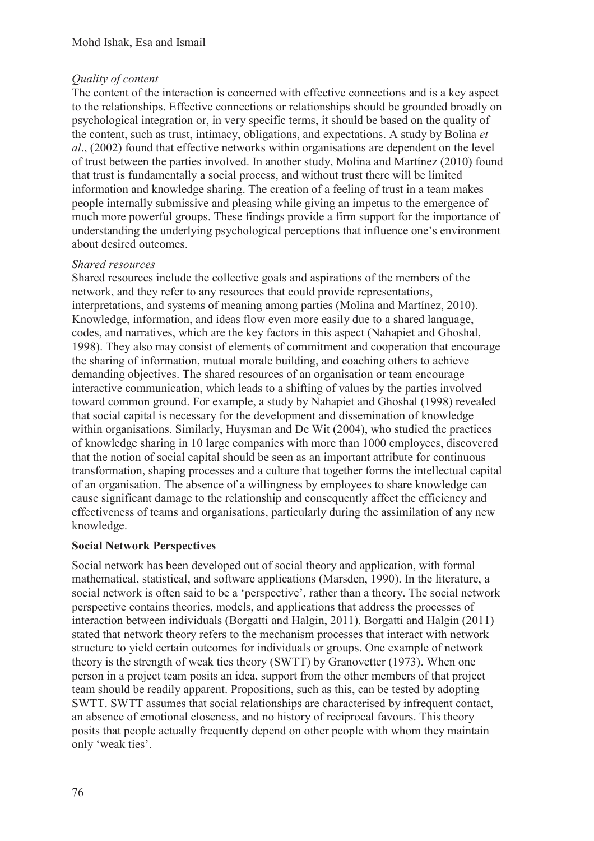### *Quality of content*

The content of the interaction is concerned with effective connections and is a key aspect to the relationships. Effective connections or relationships should be grounded broadly on psychological integration or, in very specific terms, it should be based on the quality of the content, such as trust, intimacy, obligations, and expectations. A study by Bolina *et al*., (2002) found that effective networks within organisations are dependent on the level of trust between the parties involved. In another study, Molina and Martínez (2010) found that trust is fundamentally a social process, and without trust there will be limited information and knowledge sharing. The creation of a feeling of trust in a team makes people internally submissive and pleasing while giving an impetus to the emergence of much more powerful groups. These findings provide a firm support for the importance of understanding the underlying psychological perceptions that influence one's environment about desired outcomes.

### *Shared resources*

Shared resources include the collective goals and aspirations of the members of the network, and they refer to any resources that could provide representations, interpretations, and systems of meaning among parties (Molina and Martínez, 2010). Knowledge, information, and ideas flow even more easily due to a shared language, codes, and narratives, which are the key factors in this aspect (Nahapiet and Ghoshal, 1998). They also may consist of elements of commitment and cooperation that encourage the sharing of information, mutual morale building, and coaching others to achieve demanding objectives. The shared resources of an organisation or team encourage interactive communication, which leads to a shifting of values by the parties involved toward common ground. For example, a study by Nahapiet and Ghoshal (1998) revealed that social capital is necessary for the development and dissemination of knowledge within organisations. Similarly, Huysman and De Wit (2004), who studied the practices of knowledge sharing in 10 large companies with more than 1000 employees, discovered that the notion of social capital should be seen as an important attribute for continuous transformation, shaping processes and a culture that together forms the intellectual capital of an organisation. The absence of a willingness by employees to share knowledge can cause significant damage to the relationship and consequently affect the efficiency and effectiveness of teams and organisations, particularly during the assimilation of any new knowledge.

### **Social Network Perspectives**

Social network has been developed out of social theory and application, with formal mathematical, statistical, and software applications (Marsden, 1990). In the literature, a social network is often said to be a 'perspective', rather than a theory. The social network perspective contains theories, models, and applications that address the processes of interaction between individuals (Borgatti and Halgin, 2011). Borgatti and Halgin (2011) stated that network theory refers to the mechanism processes that interact with network structure to yield certain outcomes for individuals or groups. One example of network theory is the strength of weak ties theory (SWTT) by Granovetter (1973). When one person in a project team posits an idea, support from the other members of that project team should be readily apparent. Propositions, such as this, can be tested by adopting SWTT. SWTT assumes that social relationships are characterised by infrequent contact, an absence of emotional closeness, and no history of reciprocal favours. This theory posits that people actually frequently depend on other people with whom they maintain only 'weak ties'.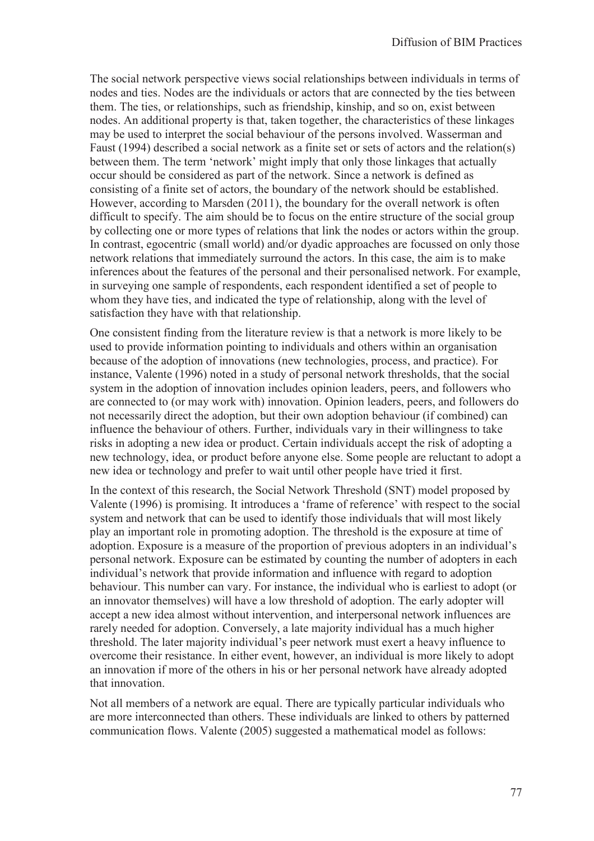The social network perspective views social relationships between individuals in terms of nodes and ties. Nodes are the individuals or actors that are connected by the ties between them. The ties, or relationships, such as friendship, kinship, and so on, exist between nodes. An additional property is that, taken together, the characteristics of these linkages may be used to interpret the social behaviour of the persons involved. Wasserman and Faust (1994) described a social network as a finite set or sets of actors and the relation(s) between them. The term 'network' might imply that only those linkages that actually occur should be considered as part of the network. Since a network is defined as consisting of a finite set of actors, the boundary of the network should be established. However, according to Marsden (2011), the boundary for the overall network is often difficult to specify. The aim should be to focus on the entire structure of the social group by collecting one or more types of relations that link the nodes or actors within the group. In contrast, egocentric (small world) and/or dyadic approaches are focussed on only those network relations that immediately surround the actors. In this case, the aim is to make inferences about the features of the personal and their personalised network. For example, in surveying one sample of respondents, each respondent identified a set of people to whom they have ties, and indicated the type of relationship, along with the level of satisfaction they have with that relationship.

One consistent finding from the literature review is that a network is more likely to be used to provide information pointing to individuals and others within an organisation because of the adoption of innovations (new technologies, process, and practice). For instance, Valente (1996) noted in a study of personal network thresholds, that the social system in the adoption of innovation includes opinion leaders, peers, and followers who are connected to (or may work with) innovation. Opinion leaders, peers, and followers do not necessarily direct the adoption, but their own adoption behaviour (if combined) can influence the behaviour of others. Further, individuals vary in their willingness to take risks in adopting a new idea or product. Certain individuals accept the risk of adopting a new technology, idea, or product before anyone else. Some people are reluctant to adopt a new idea or technology and prefer to wait until other people have tried it first.

In the context of this research, the Social Network Threshold (SNT) model proposed by Valente (1996) is promising. It introduces a 'frame of reference' with respect to the social system and network that can be used to identify those individuals that will most likely play an important role in promoting adoption. The threshold is the exposure at time of adoption. Exposure is a measure of the proportion of previous adopters in an individual's personal network. Exposure can be estimated by counting the number of adopters in each individual's network that provide information and influence with regard to adoption behaviour. This number can vary. For instance, the individual who is earliest to adopt (or an innovator themselves) will have a low threshold of adoption. The early adopter will accept a new idea almost without intervention, and interpersonal network influences are rarely needed for adoption. Conversely, a late majority individual has a much higher threshold. The later majority individual's peer network must exert a heavy influence to overcome their resistance. In either event, however, an individual is more likely to adopt an innovation if more of the others in his or her personal network have already adopted that innovation.

Not all members of a network are equal. There are typically particular individuals who are more interconnected than others. These individuals are linked to others by patterned communication flows. Valente (2005) suggested a mathematical model as follows: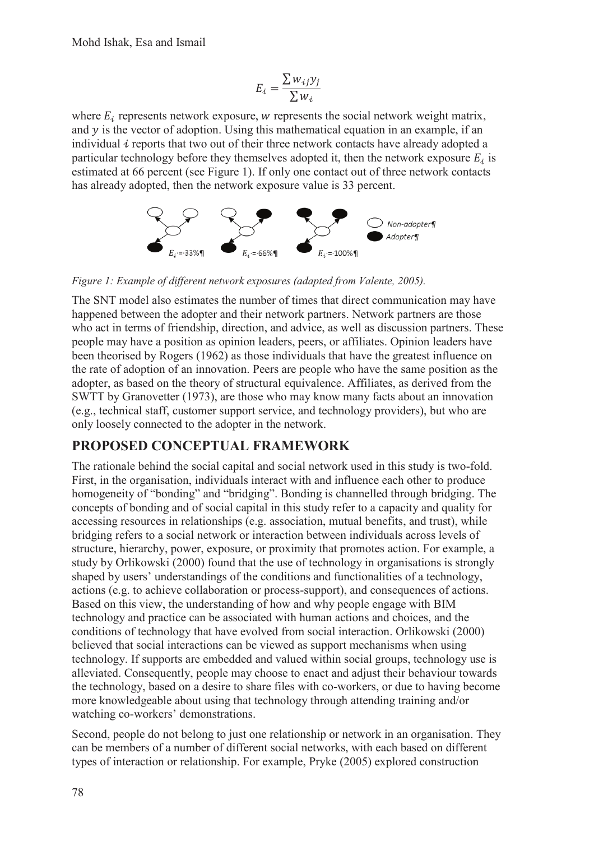$$
E_i = \frac{\sum w_{ij} y_j}{\sum w_i}
$$

where  $E_i$  represents network exposure, w represents the social network weight matrix, and  $y$  is the vector of adoption. Using this mathematical equation in an example, if an individual  $i$  reports that two out of their three network contacts have already adopted a particular technology before they themselves adopted it, then the network exposure  $E_i$  is estimated at 66 percent (see Figure 1). If only one contact out of three network contacts has already adopted, then the network exposure value is 33 percent.



*Figure 1: Example of different network exposures (adapted from Valente, 2005).* 

The SNT model also estimates the number of times that direct communication may have happened between the adopter and their network partners. Network partners are those who act in terms of friendship, direction, and advice, as well as discussion partners. These people may have a position as opinion leaders, peers, or affiliates. Opinion leaders have been theorised by Rogers (1962) as those individuals that have the greatest influence on the rate of adoption of an innovation. Peers are people who have the same position as the adopter, as based on the theory of structural equivalence. Affiliates, as derived from the SWTT by Granovetter (1973), are those who may know many facts about an innovation (e.g., technical staff, customer support service, and technology providers), but who are only loosely connected to the adopter in the network.

## **PROPOSED CONCEPTUAL FRAMEWORK**

The rationale behind the social capital and social network used in this study is two-fold. First, in the organisation, individuals interact with and influence each other to produce homogeneity of "bonding" and "bridging". Bonding is channelled through bridging. The concepts of bonding and of social capital in this study refer to a capacity and quality for accessing resources in relationships (e.g. association, mutual benefits, and trust), while bridging refers to a social network or interaction between individuals across levels of structure, hierarchy, power, exposure, or proximity that promotes action. For example, a study by Orlikowski (2000) found that the use of technology in organisations is strongly shaped by users' understandings of the conditions and functionalities of a technology, actions (e.g. to achieve collaboration or process-support), and consequences of actions. Based on this view, the understanding of how and why people engage with BIM technology and practice can be associated with human actions and choices, and the conditions of technology that have evolved from social interaction. Orlikowski (2000) believed that social interactions can be viewed as support mechanisms when using technology. If supports are embedded and valued within social groups, technology use is alleviated. Consequently, people may choose to enact and adjust their behaviour towards the technology, based on a desire to share files with co-workers, or due to having become more knowledgeable about using that technology through attending training and/or watching co-workers' demonstrations.

Second, people do not belong to just one relationship or network in an organisation. They can be members of a number of different social networks, with each based on different types of interaction or relationship. For example, Pryke (2005) explored construction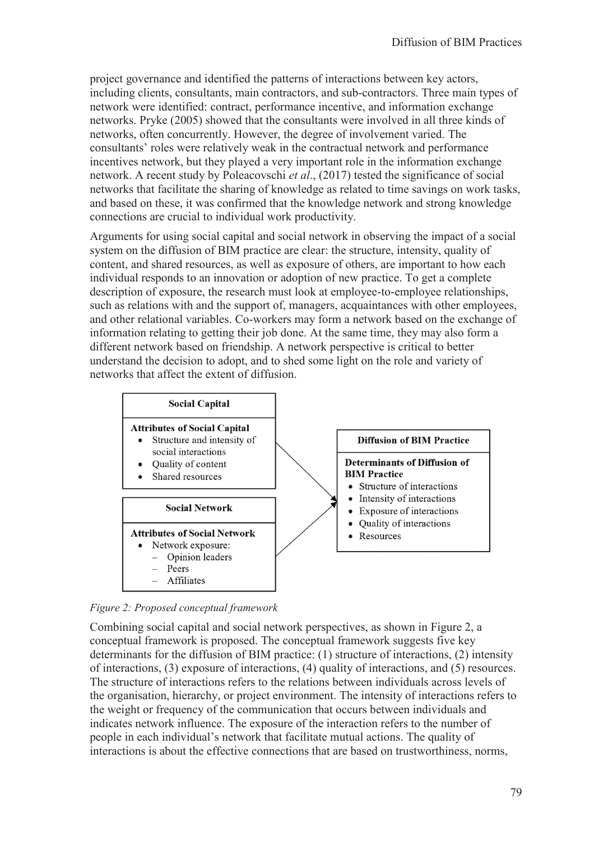project governance and identified the patterns of interactions between key actors, including clients, consultants, main contractors, and sub-contractors. Three main types of network were identified: contract, performance incentive, and information exchange networks. Pryke (2005) showed that the consultants were involved in all three kinds of networks, often concurrently. However, the degree of involvement varied. The consultants' roles were relatively weak in the contractual network and performance incentives network, but they played a very important role in the information exchange network. A recent study by Poleacovschi *et al*., (2017) tested the significance of social networks that facilitate the sharing of knowledge as related to time savings on work tasks, and based on these, it was confirmed that the knowledge network and strong knowledge connections are crucial to individual work productivity.

Arguments for using social capital and social network in observing the impact of a social system on the diffusion of BIM practice are clear: the structure, intensity, quality of content, and shared resources, as well as exposure of others, are important to how each individual responds to an innovation or adoption of new practice. To get a complete description of exposure, the research must look at employee-to-employee relationships, such as relations with and the support of, managers, acquaintances with other employees, and other relational variables. Co-workers may form a network based on the exchange of information relating to getting their job done. At the same time, they may also form a different network based on friendship. A network perspective is critical to better understand the decision to adopt, and to shed some light on the role and variety of networks that affect the extent of diffusion.



*Figure 2: Proposed conceptual framework* 

Combining social capital and social network perspectives, as shown in Figure 2, a conceptual framework is proposed. The conceptual framework suggests five key determinants for the diffusion of BIM practice: (1) structure of interactions, (2) intensity of interactions, (3) exposure of interactions, (4) quality of interactions, and (5) resources. The structure of interactions refers to the relations between individuals across levels of the organisation, hierarchy, or project environment. The intensity of interactions refers to the weight or frequency of the communication that occurs between individuals and indicates network influence. The exposure of the interaction refers to the number of people in each individual's network that facilitate mutual actions. The quality of interactions is about the effective connections that are based on trustworthiness, norms,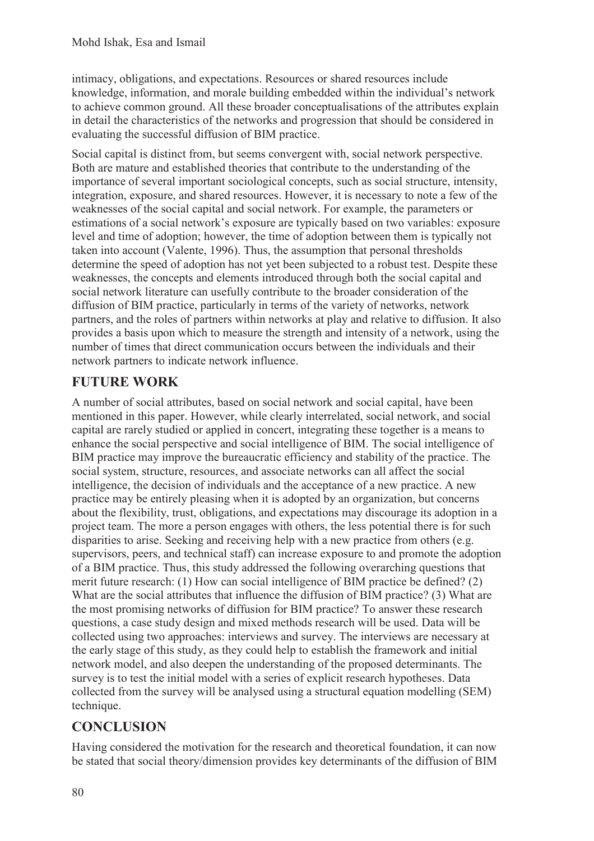intimacy, obligations, and expectations. Resources or shared resources include knowledge, information, and morale building embedded within the individual's network to achieve common ground. All these broader conceptualisations of the attributes explain in detail the characteristics of the networks and progression that should be considered in evaluating the successful diffusion of BIM practice.

Social capital is distinct from, but seems convergent with, social network perspective. Both are mature and established theories that contribute to the understanding of the importance of several important sociological concepts, such as social structure, intensity, integration, exposure, and shared resources. However, it is necessary to note a few of the weaknesses of the social capital and social network. For example, the parameters or estimations of a social network's exposure are typically based on two variables: exposure level and time of adoption; however, the time of adoption between them is typically not taken into account (Valente, 1996). Thus, the assumption that personal thresholds determine the speed of adoption has not yet been subjected to a robust test. Despite these weaknesses, the concepts and elements introduced through both the social capital and social network literature can usefully contribute to the broader consideration of the diffusion of BIM practice, particularly in terms of the variety of networks, network partners, and the roles of partners within networks at play and relative to diffusion. It also provides a basis upon which to measure the strength and intensity of a network, using the number of times that direct communication occurs between the individuals and their network partners to indicate network influence.

# **FUTURE WORK**

A number of social attributes, based on social network and social capital, have been mentioned in this paper. However, while clearly interrelated, social network, and social capital are rarely studied or applied in concert, integrating these together is a means to enhance the social perspective and social intelligence of BIM. The social intelligence of BIM practice may improve the bureaucratic efficiency and stability of the practice. The social system, structure, resources, and associate networks can all affect the social intelligence, the decision of individuals and the acceptance of a new practice. A new practice may be entirely pleasing when it is adopted by an organization, but concerns about the flexibility, trust, obligations, and expectations may discourage its adoption in a project team. The more a person engages with others, the less potential there is for such disparities to arise. Seeking and receiving help with a new practice from others (e.g. supervisors, peers, and technical staff) can increase exposure to and promote the adoption of a BIM practice. Thus, this study addressed the following overarching questions that merit future research: (1) How can social intelligence of BIM practice be defined? (2) What are the social attributes that influence the diffusion of BIM practice? (3) What are the most promising networks of diffusion for BIM practice? To answer these research questions, a case study design and mixed methods research will be used. Data will be collected using two approaches: interviews and survey. The interviews are necessary at the early stage of this study, as they could help to establish the framework and initial network model, and also deepen the understanding of the proposed determinants. The survey is to test the initial model with a series of explicit research hypotheses. Data collected from the survey will be analysed using a structural equation modelling (SEM) technique.

# **CONCLUSION**

Having considered the motivation for the research and theoretical foundation, it can now be stated that social theory/dimension provides key determinants of the diffusion of BIM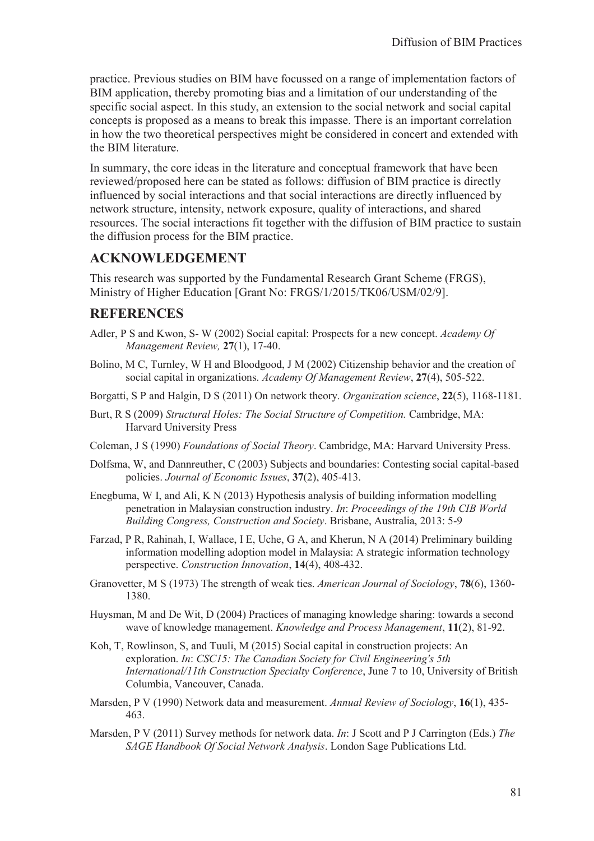practice. Previous studies on BIM have focussed on a range of implementation factors of BIM application, thereby promoting bias and a limitation of our understanding of the specific social aspect. In this study, an extension to the social network and social capital concepts is proposed as a means to break this impasse. There is an important correlation in how the two theoretical perspectives might be considered in concert and extended with the BIM literature.

In summary, the core ideas in the literature and conceptual framework that have been reviewed/proposed here can be stated as follows: diffusion of BIM practice is directly influenced by social interactions and that social interactions are directly influenced by network structure, intensity, network exposure, quality of interactions, and shared resources. The social interactions fit together with the diffusion of BIM practice to sustain the diffusion process for the BIM practice.

## **ACKNOWLEDGEMENT**

This research was supported by the Fundamental Research Grant Scheme (FRGS), Ministry of Higher Education [Grant No: FRGS/1/2015/TK06/USM/02/9].

### **REFERENCES**

- Adler, P S and Kwon, S- W (2002) Social capital: Prospects for a new concept. *Academy Of Management Review,* **27**(1), 17-40.
- Bolino, M C, Turnley, W H and Bloodgood, J M (2002) Citizenship behavior and the creation of social capital in organizations. *Academy Of Management Review*, **27**(4), 505-522.
- Borgatti, S P and Halgin, D S (2011) On network theory. *Organization science*, **22**(5), 1168-1181.
- Burt, R S (2009) *Structural Holes: The Social Structure of Competition.* Cambridge, MA: Harvard University Press
- Coleman, J S (1990) *Foundations of Social Theory*. Cambridge, MA: Harvard University Press.
- Dolfsma, W, and Dannreuther, C (2003) Subjects and boundaries: Contesting social capital-based policies. *Journal of Economic Issues*, **37**(2), 405-413.
- Enegbuma, W I, and Ali, K N (2013) Hypothesis analysis of building information modelling penetration in Malaysian construction industry. *In*: *Proceedings of the 19th CIB World Building Congress, Construction and Society*. Brisbane, Australia, 2013: 5-9
- Farzad, P R, Rahinah, I, Wallace, I E, Uche, G A, and Kherun, N A (2014) Preliminary building information modelling adoption model in Malaysia: A strategic information technology perspective. *Construction Innovation*, **14**(4), 408-432.
- Granovetter, M S (1973) The strength of weak ties. *American Journal of Sociology*, **78**(6), 1360- 1380.
- Huysman, M and De Wit, D (2004) Practices of managing knowledge sharing: towards a second wave of knowledge management. *Knowledge and Process Management*, **11**(2), 81-92.
- Koh, T, Rowlinson, S, and Tuuli, M (2015) Social capital in construction projects: An exploration. *In*: *CSC15: The Canadian Society for Civil Engineering's 5th International/11th Construction Specialty Conference*, June 7 to 10, University of British Columbia, Vancouver, Canada.
- Marsden, P V (1990) Network data and measurement. *Annual Review of Sociology*, **16**(1), 435- 463.
- Marsden, P V (2011) Survey methods for network data. *In*: J Scott and P J Carrington (Eds.) *The SAGE Handbook Of Social Network Analysis*. London Sage Publications Ltd.